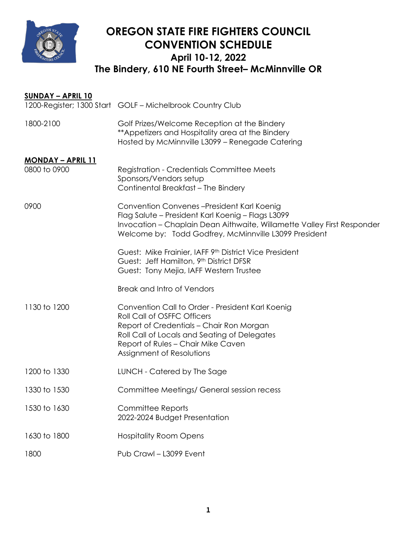

## **OREGON STATE FIRE FIGHTERS COUNCIL CONVENTION SCHEDULE April 10-12, 2022 The Bindery, 610 NE Fourth Street– McMinnville OR**

| <u>SUNDAY – APRIL 10</u>                  |                                                                                                                                                                                                                                                |
|-------------------------------------------|------------------------------------------------------------------------------------------------------------------------------------------------------------------------------------------------------------------------------------------------|
|                                           | 1200-Register; 1300 Start GOLF - Michelbrook Country Club                                                                                                                                                                                      |
| 1800-2100                                 | Golf Prizes/Welcome Reception at the Bindery<br>** Appetizers and Hospitality area at the Bindery<br>Hosted by McMinnville L3099 - Renegade Catering                                                                                           |
| <u> MONDAY – APRIL 11</u><br>0800 to 0900 | <b>Registration - Credentials Committee Meets</b><br>Sponsors/Vendors setup<br>Continental Breakfast - The Bindery                                                                                                                             |
| 0900                                      | Convention Convenes-President Karl Koenig<br>Flag Salute - President Karl Koenig - Flags L3099<br>Invocation – Chaplain Dean Aithwaite, Willamette Valley First Responder<br>Welcome by: Todd Godfrey, McMinnville L3099 President             |
|                                           | Guest: Mike Frainier, IAFF 9th District Vice President<br>Guest: Jeff Hamilton, 9th District DFSR<br>Guest: Tony Mejia, IAFF Western Trustee                                                                                                   |
|                                           | Break and Intro of Vendors                                                                                                                                                                                                                     |
| 1130 to 1200                              | Convention Call to Order - President Karl Koenig<br>Roll Call of OSFFC Officers<br>Report of Credentials - Chair Ron Morgan<br>Roll Call of Locals and Seating of Delegates<br>Report of Rules - Chair Mike Caven<br>Assignment of Resolutions |
| 1200 to 1330                              | LUNCH - Catered by The Sage                                                                                                                                                                                                                    |
| 1330 to 1530                              | Committee Meetings/ General session recess                                                                                                                                                                                                     |
| 1530 to 1630                              | <b>Committee Reports</b><br>2022-2024 Budget Presentation                                                                                                                                                                                      |
| 1630 to 1800                              | <b>Hospitality Room Opens</b>                                                                                                                                                                                                                  |
| 1800                                      | Pub Crawl - L3099 Event                                                                                                                                                                                                                        |